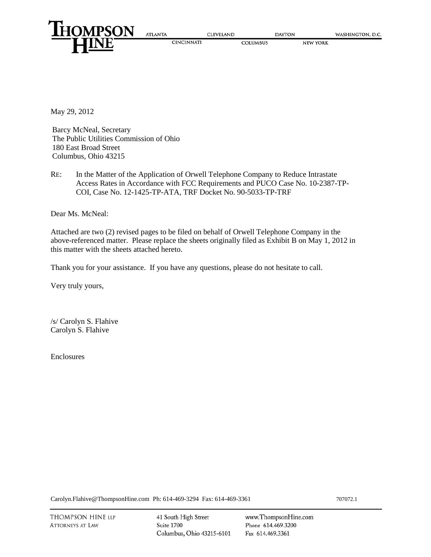

May 29, 2012

Barcy McNeal, Secretary The Public Utilities Commission of Ohio 180 East Broad Street Columbus, Ohio 43215

RE: In the Matter of the Application of Orwell Telephone Company to Reduce Intrastate Access Rates in Accordance with FCC Requirements and PUCO Case No. 10-2387-TP-COI, Case No. 12-1425-TP-ATA, TRF Docket No. 90-5033-TP-TRF

Dear Ms. McNeal:

Attached are two (2) revised pages to be filed on behalf of Orwell Telephone Company in the above-referenced matter. Please replace the sheets originally filed as Exhibit B on May 1, 2012 in this matter with the sheets attached hereto.

Thank you for your assistance. If you have any questions, please do not hesitate to call.

Very truly yours,

/s/ Carolyn S. Flahive Carolyn S. Flahive

Enclosures

[Carolyn.Flahive@ThompsonHine.com](mailto:Carolyn.Flahive@ThompsonHine.com) Ph: 614-469-3294 Fax: 614-469-3361 707072.1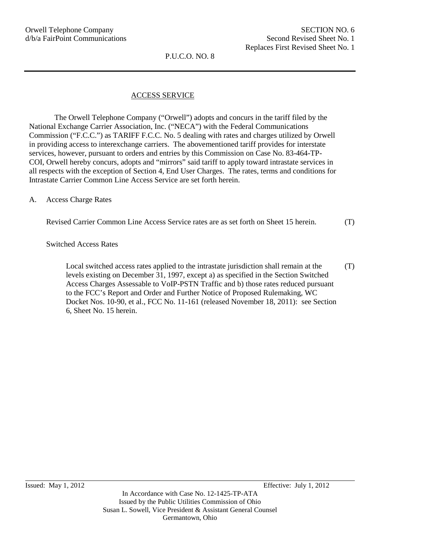P.U.C.O. NO. 8

## ACCESS SERVICE

The Orwell Telephone Company ("Orwell") adopts and concurs in the tariff filed by the National Exchange Carrier Association, Inc. ("NECA") with the Federal Communications Commission ("F.C.C.") as TARIFF F.C.C. No. 5 dealing with rates and charges utilized by Orwell in providing access to interexchange carriers. The abovementioned tariff provides for interstate services, however, pursuant to orders and entries by this Commission on Case No. 83-464-TP-COI, Orwell hereby concurs, adopts and "mirrors" said tariff to apply toward intrastate services in all respects with the exception of Section 4, End User Charges. The rates, terms and conditions for Intrastate Carrier Common Line Access Service are set forth herein.

A. Access Charge Rates

| Revised Carrier Common Line Access Service rates are as set forth on Sheet 15 herein. | (T) |
|---------------------------------------------------------------------------------------|-----|
|---------------------------------------------------------------------------------------|-----|

Switched Access Rates

Local switched access rates applied to the intrastate jurisdiction shall remain at the levels existing on December 31, 1997, except a) as specified in the Section Switched Access Charges Assessable to VoIP-PSTN Traffic and b) those rates reduced pursuant to the FCC's Report and Order and Further Notice of Proposed Rulemaking, WC Docket Nos. 10-90, et al., FCC No. 11-161 (released November 18, 2011): see Section 6, Sheet No. 15 herein. (T)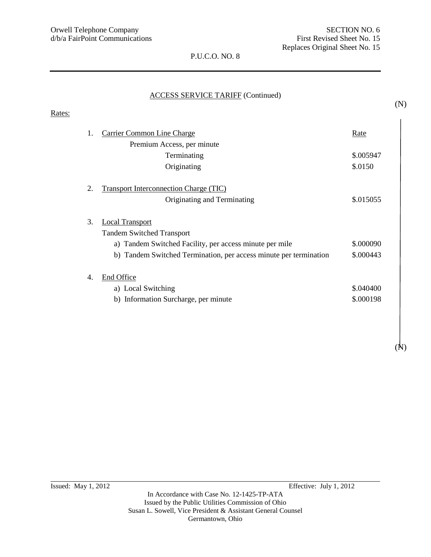Rates:

## P.U.C.O. NO. 8

## ACCESS SERVICE TARIFF (Continued)

| 1.               | <b>Carrier Common Line Charge</b>                                 | <u>Rate</u> |
|------------------|-------------------------------------------------------------------|-------------|
|                  | Premium Access, per minute                                        |             |
|                  | Terminating                                                       | \$.005947   |
|                  | Originating                                                       | \$.0150     |
| 2.               | <b>Transport Interconnection Charge (TIC)</b>                     |             |
|                  | Originating and Terminating                                       | \$.015055   |
| 3.               | <b>Local Transport</b>                                            |             |
|                  | <b>Tandem Switched Transport</b>                                  |             |
|                  | a) Tandem Switched Facility, per access minute per mile           | \$.000090   |
|                  | b) Tandem Switched Termination, per access minute per termination | \$.000443   |
| $\overline{4}$ . | End Office                                                        |             |
|                  | a) Local Switching                                                | \$.040400   |
|                  | b) Information Surcharge, per minute                              | \$.000198   |

(N)

(N)